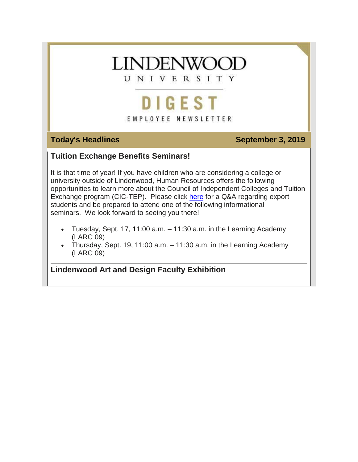# **LINDENWOOL**

UNIVERSITY

## **DIGEST** EMPLOYEE NEWSLETTER

#### **Today's Headlines September 3, 2019**

#### **Tuition Exchange Benefits Seminars!**

It is that time of year! If you have children who are considering a college or university outside of Lindenwood, Human Resources offers the following opportunities to learn more about the Council of Independent Colleges and Tuition Exchange program (CIC-TEP). Please click [here](https://hes32-ctp.trendmicro.com/wis/clicktime/v1/query?url=https%3a%2f%2fcustapp.marketvolt.com%2flink%2fFfoirrshru%3fCM%3d1385157854%26X%3d70525052&umid=603f8ccd-f196-4242-9fe8-350f99f6d60a&auth=bc7ac43e330fa629f0cfb11786c85e83c10d06b8-70564af6ed4661a21df305f7883457e3f6d9b1fc) for a Q&A regarding export students and be prepared to attend one of the following informational seminars. We look forward to seeing you there!

- Tuesday, Sept. 17, 11:00  $a.m. 11:30$   $a.m.$  in the Learning Academy (LARC 09)
- Thursday, Sept. 19, 11:00  $a.m. 11:30$   $a.m.$  in the Learning Academy (LARC 09)

**Lindenwood Art and Design Faculty Exhibition**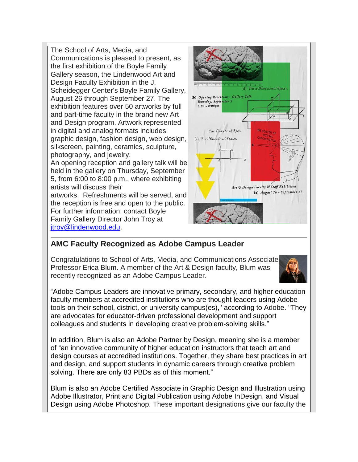The School of Arts, Media, and Communications is pleased to present, as the first exhibition of the Boyle Family Gallery season, the Lindenwood Art and Design Faculty Exhibition in the J. Scheidegger Center's Boyle Family Gallery, August 26 through September 27. The exhibition features over 50 artworks by full and part-time faculty in the brand new Art and Design program. Artwork represented in digital and analog formats includes graphic design, fashion design, web design, silkscreen, painting, ceramics, sculpture, photography, and jewelry. An opening reception and gallery talk will be held in the gallery on Thursday, September 5, from 6:00 to 8:00 p.m., where exhibiting artists will discuss their artworks. Refreshments will be served, and the reception is free and open to the public. For further information, contact Boyle Family Gallery Director John Troy at [jtroy@lindenwood.edu.](mailto:jtroy@lindenwood.edu)



#### **AMC Faculty Recognized as Adobe Campus Leader**

Congratulations to School of Arts, Media, and Communications Associate Professor Erica Blum. A member of the Art & Design faculty, Blum was recently recognized as an Adobe Campus Leader.



"Adobe Campus Leaders are innovative primary, secondary, and higher education faculty members at accredited institutions who are thought leaders using Adobe tools on their school, district, or university campus(es)," according to Adobe. "They are advocates for educator-driven professional development and support colleagues and students in developing creative problem-solving skills."

In addition, Blum is also an Adobe Partner by Design, meaning she is a member of "an innovative community of higher education instructors that teach art and design courses at accredited institutions. Together, they share best practices in art and design, and support students in dynamic careers through creative problem solving. There are only 83 PBDs as of this moment."

Blum is also an Adobe Certified Associate in Graphic Design and Illustration using Adobe Illustrator, Print and Digital Publication using Adobe InDesign, and Visual Design using Adobe Photoshop. These important designations give our faculty the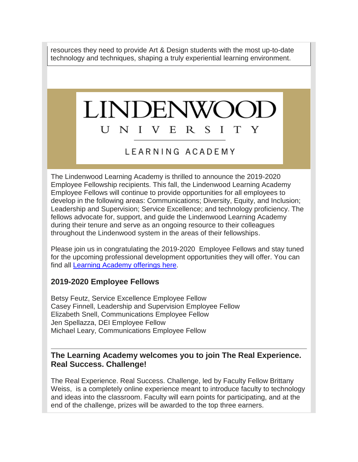resources they need to provide Art & Design students with the most up-to-date technology and techniques, shaping a truly experiential learning environment.

#### **LINDENW** U NIVE R S T Y Ι

### LEARNING ACADEMY

The Lindenwood Learning Academy is thrilled to announce the 2019-2020 Employee Fellowship recipients. This fall, the Lindenwood Learning Academy Employee Fellows will continue to provide opportunities for all employees to develop in the following areas: Communications; Diversity, Equity, and Inclusion; Leadership and Supervision; Service Excellence; and technology proficiency. The fellows advocate for, support, and guide the Lindenwood Learning Academy during their tenure and serve as an ongoing resource to their colleagues throughout the Lindenwood system in the areas of their fellowships.

Please join us in congratulating the 2019-2020 Employee Fellows and stay tuned for the upcoming professional development opportunities they will offer. You can find all Learning [Academy](https://hes32-ctp.trendmicro.com/wis/clicktime/v1/query?url=https%3a%2f%2fcustapp.marketvolt.com%2flink%2fui6C5WfCUF%3fCM%3d1385157854%26X%3d70525052&umid=603f8ccd-f196-4242-9fe8-350f99f6d60a&auth=bc7ac43e330fa629f0cfb11786c85e83c10d06b8-e7921f86f88ea5d4de18712c515359381e4080b1) offerings here.

#### **2019-2020 Employee Fellows**

Betsy Feutz, Service Excellence Employee Fellow Casey Finnell, Leadership and Supervision Employee Fellow Elizabeth Snell, Communications Employee Fellow Jen Spellazza, DEI Employee Fellow Michael Leary, Communications Employee Fellow

#### **The Learning Academy welcomes you to join The Real Experience. Real Success. Challenge!**

The Real Experience. Real Success. Challenge, led by Faculty Fellow Brittany Weiss, is a completely online experience meant to introduce faculty to technology and ideas into the classroom. Faculty will earn points for participating, and at the end of the challenge, prizes will be awarded to the top three earners.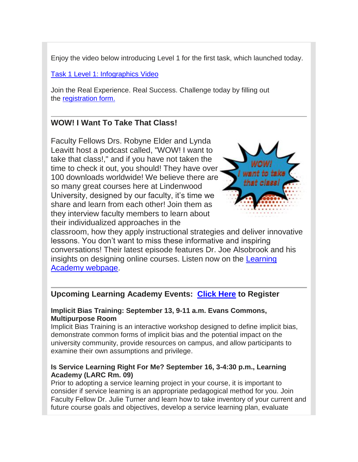Enjoy the video below introducing Level 1 for the first task, which launched today.

#### Task 1 Level 1: [Infographics](https://hes32-ctp.trendmicro.com/wis/clicktime/v1/query?url=https%3a%2f%2fcustapp.marketvolt.com%2flink%2ffzzH6QfBsQ%3fCM%3d1385157854%26X%3d70525052&umid=603f8ccd-f196-4242-9fe8-350f99f6d60a&auth=bc7ac43e330fa629f0cfb11786c85e83c10d06b8-9e47456a7c7eb5263a26b62c9fbf48436d8c138e) Video

Join the Real Experience. Real Success. Challenge today by filling out the [registration](https://hes32-ctp.trendmicro.com/wis/clicktime/v1/query?url=https%3a%2f%2fcustapp.marketvolt.com%2flink%2faQRQd67SeE%3fCM%3d1385157854%26X%3d70525052&umid=603f8ccd-f196-4242-9fe8-350f99f6d60a&auth=bc7ac43e330fa629f0cfb11786c85e83c10d06b8-099e25e5fd8925090f25ca47b09b10a069079273) form.

#### **WOW! I Want To Take That Class!**

Faculty Fellows Drs. Robyne Elder and Lynda Leavitt host a podcast called, "WOW! I want to take that class!," and if you have not taken the time to check it out, you should! They have over 100 downloads worldwide! We believe there are so many great courses here at Lindenwood University, designed by our faculty, it's time we share and learn from each other! Join them as they interview faculty members to learn about their individualized approaches in the



classroom, how they apply instructional strategies and deliver innovative lessons. You don't want to miss these informative and inspiring conversations! Their latest episode features Dr. Joe Alsobrook and his insights on designing online courses. Listen now on the [Learning](https://hes32-ctp.trendmicro.com/wis/clicktime/v1/query?url=https%3a%2f%2fcustapp.marketvolt.com%2flink%2fnuDlRFA6vy%3fCM%3d1385157854%26X%3d70525052&umid=603f8ccd-f196-4242-9fe8-350f99f6d60a&auth=bc7ac43e330fa629f0cfb11786c85e83c10d06b8-6f7bfa7e3d7c4e2810f5e25e233a508e2b4eda18) Academy [webpage.](https://hes32-ctp.trendmicro.com/wis/clicktime/v1/query?url=https%3a%2f%2fcustapp.marketvolt.com%2flink%2fnuDlRFA6vy%3fCM%3d1385157854%26X%3d70525052&umid=603f8ccd-f196-4242-9fe8-350f99f6d60a&auth=bc7ac43e330fa629f0cfb11786c85e83c10d06b8-6f7bfa7e3d7c4e2810f5e25e233a508e2b4eda18)

#### **Upcoming Learning Academy Events: [Click](https://hes32-ctp.trendmicro.com/wis/clicktime/v1/query?url=https%3a%2f%2fcustapp.marketvolt.com%2flink%2fui6C5WfCUF%3fCM%3d1385157854%26X%3d70525052&umid=603f8ccd-f196-4242-9fe8-350f99f6d60a&auth=bc7ac43e330fa629f0cfb11786c85e83c10d06b8-e7921f86f88ea5d4de18712c515359381e4080b1) Here to Register**

#### **Implicit Bias Training: September 13, 9-11 a.m. Evans Commons, Multipurpose Room**

Implicit Bias Training is an interactive workshop designed to define implicit bias, demonstrate common forms of implicit bias and the potential impact on the university community, provide resources on campus, and allow participants to examine their own assumptions and privilege.

#### **Is Service Learning Right For Me? September 16, 3-4:30 p.m., Learning Academy (LARC Rm. 09)**

Prior to adopting a service learning project in your course, it is important to consider if service learning is an appropriate pedagogical method for you. Join Faculty Fellow Dr. Julie Turner and learn how to take inventory of your current and future course goals and objectives, develop a service learning plan, evaluate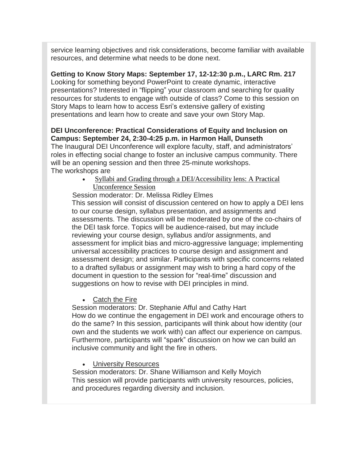service learning objectives and risk considerations, become familiar with available resources, and determine what needs to be done next.

**Getting to Know Story Maps: September 17, 12-12:30 p.m., LARC Rm. 217** Looking for something beyond PowerPoint to create dynamic, interactive presentations? Interested in "flipping" your classroom and searching for quality resources for students to engage with outside of class? Come to this session on Story Maps to learn how to access Esri's extensive gallery of existing presentations and learn how to create and save your own Story Map.

#### **DEI Unconference: Practical Considerations of Equity and Inclusion on Campus: September 24, 2:30-4:25 p.m. in Harmon Hall, Dunseth**

The Inaugural DEI Unconference will explore faculty, staff, and administrators' roles in effecting social change to foster an inclusive campus community. There will be an opening session and then three 25-minute workshops. The workshops are

> • Syllabi and Grading through a DEI/Accessibility lens: A Practical Unconference Session

Session moderator: Dr. Melissa Ridley Elmes

This session will consist of discussion centered on how to apply a DEI lens to our course design, syllabus presentation, and assignments and assessments. The discussion will be moderated by one of the co-chairs of the DEI task force. Topics will be audience-raised, but may include reviewing your course design, syllabus and/or assignments, and assessment for implicit bias and micro-aggressive language; implementing universal accessibility practices to course design and assignment and assessment design; and similar. Participants with specific concerns related to a drafted syllabus or assignment may wish to bring a hard copy of the document in question to the session for "real-time" discussion and suggestions on how to revise with DEI principles in mind.

Catch the Fire

Session moderators: Dr. Stephanie Afful and Cathy Hart How do we continue the engagement in DEI work and encourage others to do the same? In this session, participants will think about how identity (our own and the students we work with) can affect our experience on campus. Furthermore, participants will "spark" discussion on how we can build an inclusive community and light the fire in others.

University Resources

Session moderators: Dr. Shane Williamson and Kelly Moyich This session will provide participants with university resources, policies, and procedures regarding diversity and inclusion.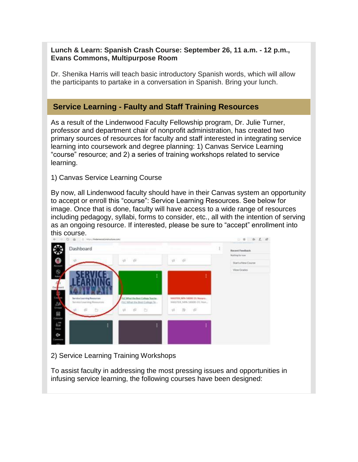#### **Lunch & Learn: Spanish Crash Course: September 26, 11 a.m. - 12 p.m., Evans Commons, Multipurpose Room**

Dr. Shenika Harris will teach basic introductory Spanish words, which will allow the participants to partake in a conversation in Spanish. Bring your lunch.

#### **Service Learning - Faulty and Staff Training Resources**

As a result of the Lindenwood Faculty Fellowship program, Dr. Julie Turner, professor and department chair of nonprofit administration, has created two primary sources of resources for faculty and staff interested in integrating service learning into coursework and degree planning: 1) Canvas Service Learning "course" resource; and 2) a series of training workshops related to service learning.

#### 1) Canvas Service Learning Course

By now, all Lindenwood faculty should have in their Canvas system an opportunity to accept or enroll this "course": Service Learning Resources. See below for image. Once that is done, faculty will have access to a wide range of resources including pedagogy, syllabi, forms to consider, etc., all with the intention of serving as an ongoing resource. If interested, please be sure to "accept" enrollment into this course.



#### 2) Service Learning Training Workshops

To assist faculty in addressing the most pressing issues and opportunities in infusing service learning, the following courses have been designed: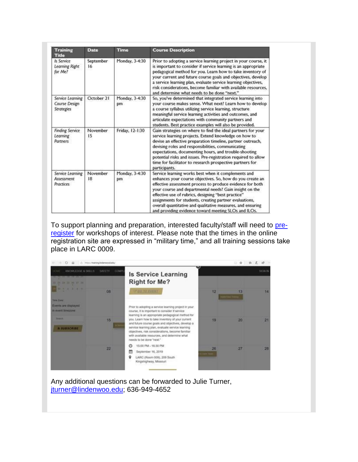| <b>Training</b><br><b>Title</b>                        | <b>Date</b>     | Time                 | <b>Course Description</b>                                                                                                                                                                                                                                                                                                                                                                                                                                                         |
|--------------------------------------------------------|-----------------|----------------------|-----------------------------------------------------------------------------------------------------------------------------------------------------------------------------------------------------------------------------------------------------------------------------------------------------------------------------------------------------------------------------------------------------------------------------------------------------------------------------------|
| Is Service<br>Learning Right<br>for Me?                | September<br>16 | Monday, 3-4:30       | Prior to adopting a service learning project in your course, it<br>is important to consider if service learning is an appropriate<br>pedagogical method for you. Learn how to take inventory of<br>your current and future course goals and objectives, develop<br>a service learning plan, evaluate service learning objectives,<br>risk considerations, become familiar with available resources,<br>and determine what needs to be done "next."                                |
| Service Learning<br>Course Design<br><b>Strategies</b> | October 21      | Monday, 3-4:30<br>pm | So, you've determined that integrated service learning into<br>your course makes sense. What next? Learn how to develop<br>a course syllabus utilizing service learning, structure<br>meaningful service learning activities and outcomes, and<br>articulate expectations with community partners and<br>students. Best practice examples will also be provided.                                                                                                                  |
| <b>Finding Service</b><br>Learning<br>Partners         | November<br>15  | Friday, 12-1:30      | Gain strategies on where to find the ideal partners for your<br>service learning projects. Extend knowledge on how to<br>devise an effective preparation timeline, partner outreach,<br>devising roles and responsibilities, communicating<br>expectations, documenting hours, and trouble-shooting<br>potential risks and issues. Pre-registration required to allow<br>time for facilitator to research prospective partners for<br>participants.                               |
| Service Learning<br>Assessment<br>Practices            | November<br>18  | Monday, 3-4:30<br>pm | Service learning works best when it complements and<br>enhances your course objectives. So, how do you create an<br>effective assessment process to produce evidence for both<br>your course and departmental needs? Gain insight on the<br>effective use of rubrics, designing "best practice"<br>assignments for students, creating partner evaluations,<br>overall quantitative and qualitative measures, and ensuring<br>and providing evidence toward meeting SLOs and ILOs. |

To support planning and preparation, interested faculty/staff will need to [pre](https://hes32-ctp.trendmicro.com/wis/clicktime/v1/query?url=https%3a%2f%2fcustapp.marketvolt.com%2flink%2fui6C5WfCUF%3fCM%3d1385157854%26X%3d70525052&umid=603f8ccd-f196-4242-9fe8-350f99f6d60a&auth=bc7ac43e330fa629f0cfb11786c85e83c10d06b8-e7921f86f88ea5d4de18712c515359381e4080b1)[register](https://hes32-ctp.trendmicro.com/wis/clicktime/v1/query?url=https%3a%2f%2fcustapp.marketvolt.com%2flink%2fui6C5WfCUF%3fCM%3d1385157854%26X%3d70525052&umid=603f8ccd-f196-4242-9fe8-350f99f6d60a&auth=bc7ac43e330fa629f0cfb11786c85e83c10d06b8-e7921f86f88ea5d4de18712c515359381e4080b1) for workshops of interest. Please note that the times in the online registration site are expressed in "military time," and all training sessions take place in LARC 0009.



Any additional questions can be forwarded to Julie Turner, [jturner@lindenwoo.edu;](mailto:jturner@lindenwoo.edu) 636-949-4652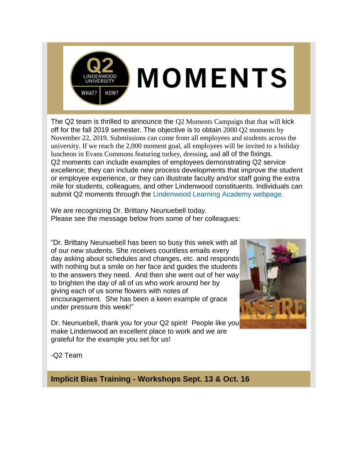

The Q2 team is thrilled to announce the Q2 Moments Campaign that that will kick off for the fall 2019 semester. The objective is to obtain 2000 Q2 moments by November 22, 2019. Submissions can come from all employees and students across the university. If we reach the 2,000 moment goal, all employees will be invited to a holiday luncheon in Evans Commons featuring turkey, dressing, and all of the fixings. Q2 moments can include examples of employees demonstrating Q2 service excellence; they can include new process developments that improve the student or employee experience, or they can illustrate faculty and/or staff going the extra mile for students, colleagues, and other Lindenwood constituents. Individuals can submit Q2 moments through the [Lindenwood Learning Academy webpage.](https://hes32-ctp.trendmicro.com/wis/clicktime/v1/query?url=https%3a%2f%2fcustapp.marketvolt.com%2flink%2fenFemLmAaX%3fCM%3d1385157854%26X%3d70525052&umid=603f8ccd-f196-4242-9fe8-350f99f6d60a&auth=bc7ac43e330fa629f0cfb11786c85e83c10d06b8-9a6abe4224ccc7294811226749fc6a31e15d9e21)

We are recognizing Dr. Brittany Neunuebell today. Please see the message below from some of her colleagues:

"Dr. Brittany Neunuebell has been so busy this week with all of our new students. She receives countless emails every day asking about schedules and changes, etc. and responds with nothing but a smile on her face and guides the students to the answers they need. And then she went out of her way to brighten the day of all of us who work around her by giving each of us some flowers with notes of encouragement. She has been a keen example of grace under pressure this week!"



Dr. Neunuebell, thank you for your Q2 spirit! People like you make Lindenwood an excellent place to work and we are grateful for the example you set for us!

-Q2 Team

**Implicit Bias Training - Workshops Sept. 13 & Oct. 16**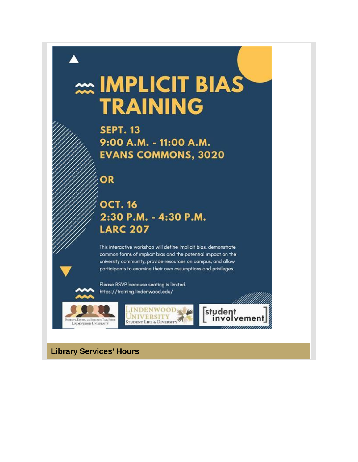# **Explorer IMPLICIT BIAS TRAINING**

**SEPT. 13** 9:00 A.M. - 11:00 A.M. **EVANS COMMONS, 3020** 

OR

### **OCT. 16** 2:30 P.M. - 4:30 P.M. **LARC 207**

This interactive workshop will define implicit bias, demonstrate common forms of implicit bias and the potential impact on the university community, provide resources on campus, and allow participants to examine their own assumptions and privileges.

Please RSVP because seating is limited. https://training.lindenwood.edu/





**Library Services' Hours**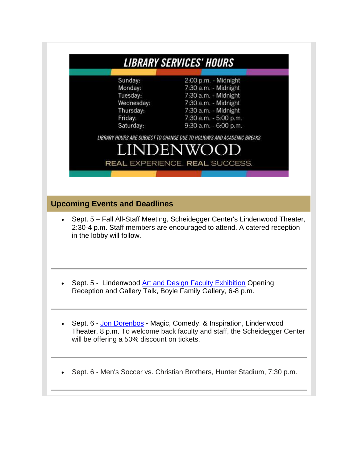|                                                                                   | <i><b>LIBRARY SERVICES' HOURS</b></i>                                                                                                                                                                                                                                                                  |
|-----------------------------------------------------------------------------------|--------------------------------------------------------------------------------------------------------------------------------------------------------------------------------------------------------------------------------------------------------------------------------------------------------|
| Sunday:<br>Monday:<br>Tuesday:<br>Wednesday:<br>Thursday:<br>Friday:<br>Saturday: | 2:00 p.m. - Midnight<br>7:30 a.m. - Midnight<br>7:30 a.m. - Midnight<br>7:30 a.m. - Midnight<br>7:30 a.m. - Midnight<br>7:30 a.m. - 5:00 p.m.<br>9:30 a.m. - 6:00 p.m.<br>LIBRARY HOURS ARE SUBJECT TO CHANGE DUE TO HOLIDAYS AND ACADEMIC BREAKS<br>LINDENWO<br><b>REAL EXPERIENCE. REAL SUCCESS.</b> |
| <b>Upcoming Events and Deadlines</b><br>in the lobby will follow.                 | Sept. 5 - Fall All-Staff Meeting, Scheidegger Center's Lindenwood Theater,<br>2:30-4 p.m. Staff members are encouraged to attend. A catered reception                                                                                                                                                  |
|                                                                                   | Sept. 5 - Lindenwood Art and Design Faculty Exhibition Opening<br>Reception and Gallery Talk, Boyle Family Gallery, 6-8 p.m.                                                                                                                                                                           |
| will be offering a 50% discount on tickets.                                       | Sept. 6 - Jon Dorenbos - Magic, Comedy, & Inspiration, Lindenwood<br>Theater, 8 p.m. To welcome back faculty and staff, the Scheidegger Center                                                                                                                                                         |
|                                                                                   | Sept. 6 - Men's Soccer vs. Christian Brothers, Hunter Stadium, 7:30 p.m.                                                                                                                                                                                                                               |